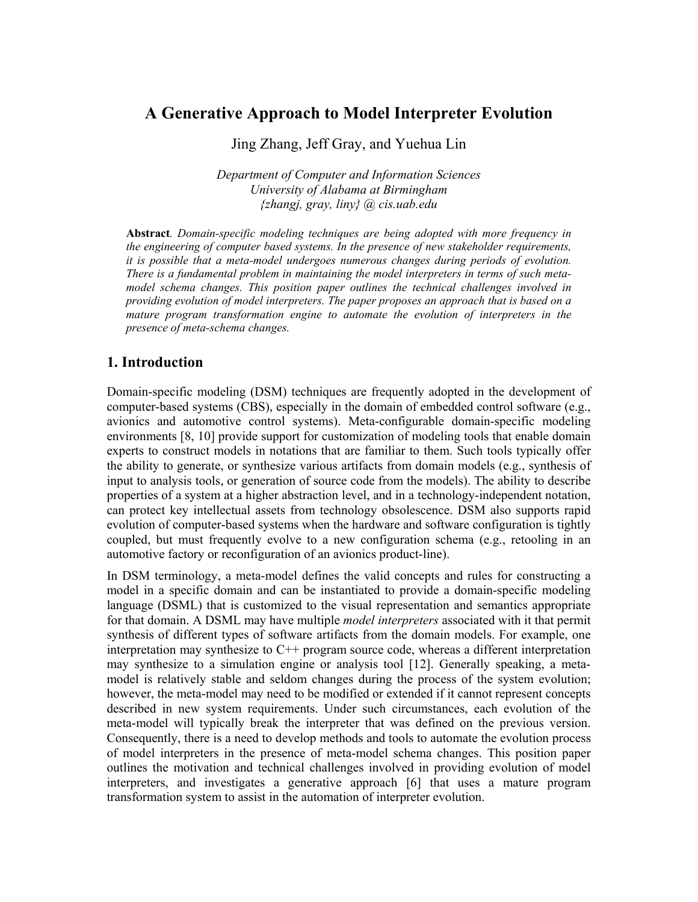# **A Generative Approach to Model Interpreter Evolution**

Jing Zhang, Jeff Gray, and Yuehua Lin

*Department of Computer and Information Sciences University of Alabama at Birmingham {zhangj, gray, liny} @ cis.uab.edu* 

**Abstract***. Domain-specific modeling techniques are being adopted with more frequency in the engineering of computer based systems. In the presence of new stakeholder requirements, it is possible that a meta-model undergoes numerous changes during periods of evolution. There is a fundamental problem in maintaining the model interpreters in terms of such metamodel schema changes. This position paper outlines the technical challenges involved in providing evolution of model interpreters. The paper proposes an approach that is based on a mature program transformation engine to automate the evolution of interpreters in the presence of meta-schema changes.* 

#### **1. Introduction**

Domain-specific modeling (DSM) techniques are frequently adopted in the development of computer-based systems (CBS), especially in the domain of embedded control software (e.g., avionics and automotive control systems). Meta-configurable domain-specific modeling environments [8, 10] provide support for customization of modeling tools that enable domain experts to construct models in notations that are familiar to them. Such tools typically offer the ability to generate, or synthesize various artifacts from domain models (e.g., synthesis of input to analysis tools, or generation of source code from the models). The ability to describe properties of a system at a higher abstraction level, and in a technology-independent notation, can protect key intellectual assets from technology obsolescence. DSM also supports rapid evolution of computer-based systems when the hardware and software configuration is tightly coupled, but must frequently evolve to a new configuration schema (e.g., retooling in an automotive factory or reconfiguration of an avionics product-line).

In DSM terminology, a meta-model defines the valid concepts and rules for constructing a model in a specific domain and can be instantiated to provide a domain-specific modeling language (DSML) that is customized to the visual representation and semantics appropriate for that domain. A DSML may have multiple *model interpreters* associated with it that permit synthesis of different types of software artifacts from the domain models. For example, one interpretation may synthesize to C++ program source code, whereas a different interpretation may synthesize to a simulation engine or analysis tool [12]. Generally speaking, a metamodel is relatively stable and seldom changes during the process of the system evolution; however, the meta-model may need to be modified or extended if it cannot represent concepts described in new system requirements. Under such circumstances, each evolution of the meta-model will typically break the interpreter that was defined on the previous version. Consequently, there is a need to develop methods and tools to automate the evolution process of model interpreters in the presence of meta-model schema changes. This position paper outlines the motivation and technical challenges involved in providing evolution of model interpreters, and investigates a generative approach [6] that uses a mature program transformation system to assist in the automation of interpreter evolution.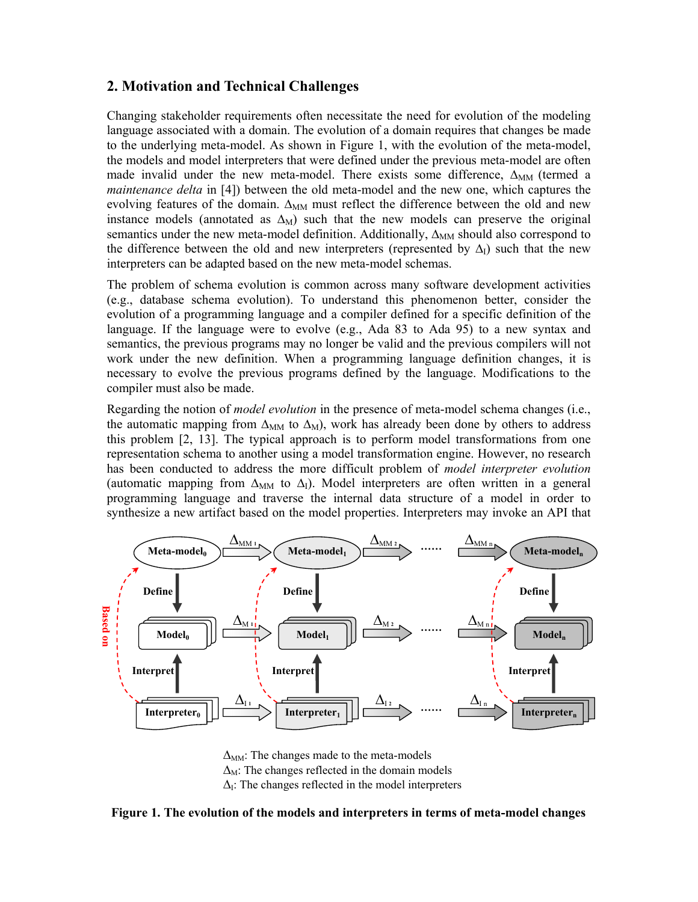## **2. Motivation and Technical Challenges**

Changing stakeholder requirements often necessitate the need for evolution of the modeling language associated with a domain. The evolution of a domain requires that changes be made to the underlying meta-model. As shown in Figure 1, with the evolution of the meta-model, the models and model interpreters that were defined under the previous meta-model are often made invalid under the new meta-model. There exists some difference,  $\Delta_{MM}$  (termed a *maintenance delta* in [4]) between the old meta-model and the new one, which captures the evolving features of the domain.  $\Delta_{MM}$  must reflect the difference between the old and new instance models (annotated as  $\Delta_M$ ) such that the new models can preserve the original semantics under the new meta-model definition. Additionally, Δ<sub>MM</sub> should also correspond to the difference between the old and new interpreters (represented by  $\Delta_{I}$ ) such that the new interpreters can be adapted based on the new meta-model schemas.

The problem of schema evolution is common across many software development activities (e.g., database schema evolution). To understand this phenomenon better, consider the evolution of a programming language and a compiler defined for a specific definition of the language. If the language were to evolve (e.g., Ada 83 to Ada 95) to a new syntax and semantics, the previous programs may no longer be valid and the previous compilers will not work under the new definition. When a programming language definition changes, it is necessary to evolve the previous programs defined by the language. Modifications to the compiler must also be made.

Regarding the notion of *model evolution* in the presence of meta-model schema changes (i.e., the automatic mapping from  $\Delta_{MM}$  to  $\Delta_M$ ), work has already been done by others to address this problem [2, 13]. The typical approach is to perform model transformations from one representation schema to another using a model transformation engine. However, no research has been conducted to address the more difficult problem of *model interpreter evolution*  (automatic mapping from  $\Delta_{MM}$  to  $\Delta_{I}$ ). Model interpreters are often written in a general programming language and traverse the internal data structure of a model in order to synthesize a new artifact based on the model properties. Interpreters may invoke an API that



 $\Delta_{MM}$ : The changes made to the meta-models  $\Delta_M$ : The changes reflected in the domain models  $\Delta$ <sub>I</sub>: The changes reflected in the model interpreters

#### **Figure 1. The evolution of the models and interpreters in terms of meta-model changes**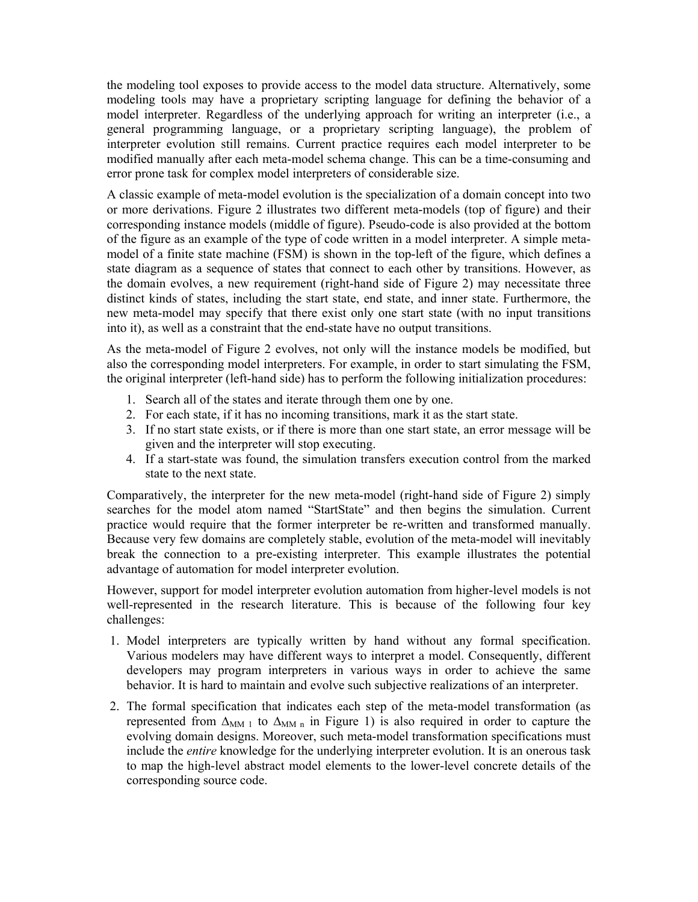the modeling tool exposes to provide access to the model data structure. Alternatively, some modeling tools may have a proprietary scripting language for defining the behavior of a model interpreter. Regardless of the underlying approach for writing an interpreter (i.e., a general programming language, or a proprietary scripting language), the problem of interpreter evolution still remains. Current practice requires each model interpreter to be modified manually after each meta-model schema change. This can be a time-consuming and error prone task for complex model interpreters of considerable size.

A classic example of meta-model evolution is the specialization of a domain concept into two or more derivations. Figure 2 illustrates two different meta-models (top of figure) and their corresponding instance models (middle of figure). Pseudo-code is also provided at the bottom of the figure as an example of the type of code written in a model interpreter. A simple metamodel of a finite state machine (FSM) is shown in the top-left of the figure, which defines a state diagram as a sequence of states that connect to each other by transitions. However, as the domain evolves, a new requirement (right-hand side of Figure 2) may necessitate three distinct kinds of states, including the start state, end state, and inner state. Furthermore, the new meta-model may specify that there exist only one start state (with no input transitions into it), as well as a constraint that the end-state have no output transitions.

As the meta-model of Figure 2 evolves, not only will the instance models be modified, but also the corresponding model interpreters. For example, in order to start simulating the FSM, the original interpreter (left-hand side) has to perform the following initialization procedures:

- 1. Search all of the states and iterate through them one by one.
- 2. For each state, if it has no incoming transitions, mark it as the start state.
- 3. If no start state exists, or if there is more than one start state, an error message will be given and the interpreter will stop executing.
- 4. If a start-state was found, the simulation transfers execution control from the marked state to the next state.

Comparatively, the interpreter for the new meta-model (right-hand side of Figure 2) simply searches for the model atom named "StartState" and then begins the simulation. Current practice would require that the former interpreter be re-written and transformed manually. Because very few domains are completely stable, evolution of the meta-model will inevitably break the connection to a pre-existing interpreter. This example illustrates the potential advantage of automation for model interpreter evolution.

However, support for model interpreter evolution automation from higher-level models is not well-represented in the research literature. This is because of the following four key challenges:

- 1. Model interpreters are typically written by hand without any formal specification. Various modelers may have different ways to interpret a model. Consequently, different developers may program interpreters in various ways in order to achieve the same behavior. It is hard to maintain and evolve such subjective realizations of an interpreter.
- 2. The formal specification that indicates each step of the meta-model transformation (as represented from  $\Delta_{MM}$  to  $\Delta_{MM}$  in Figure 1) is also required in order to capture the evolving domain designs. Moreover, such meta-model transformation specifications must include the *entire* knowledge for the underlying interpreter evolution. It is an onerous task to map the high-level abstract model elements to the lower-level concrete details of the corresponding source code.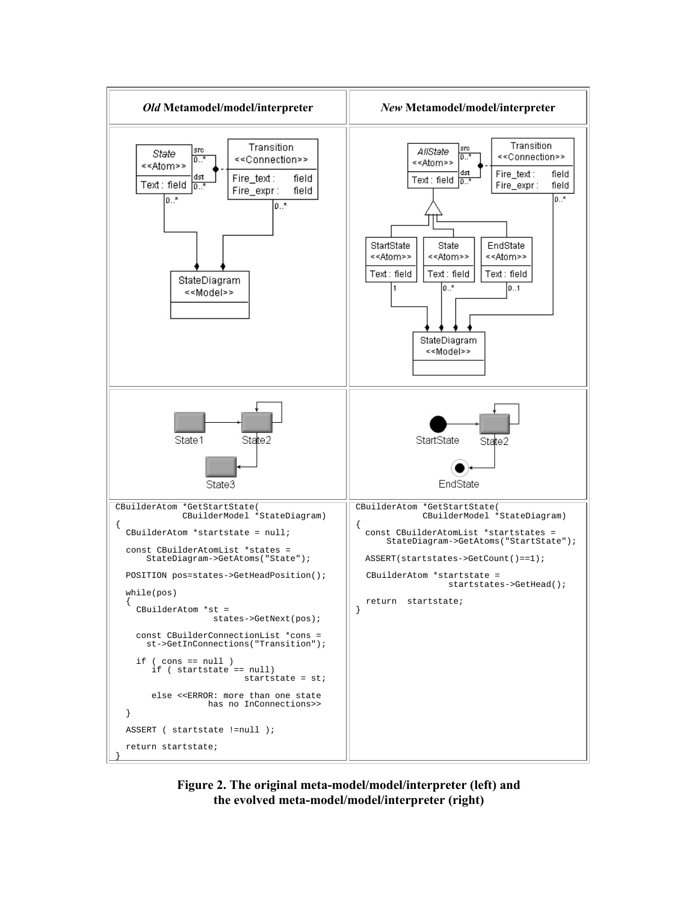

**Figure 2. The original meta-model/model/interpreter (left) and the evolved meta-model/model/interpreter (right)**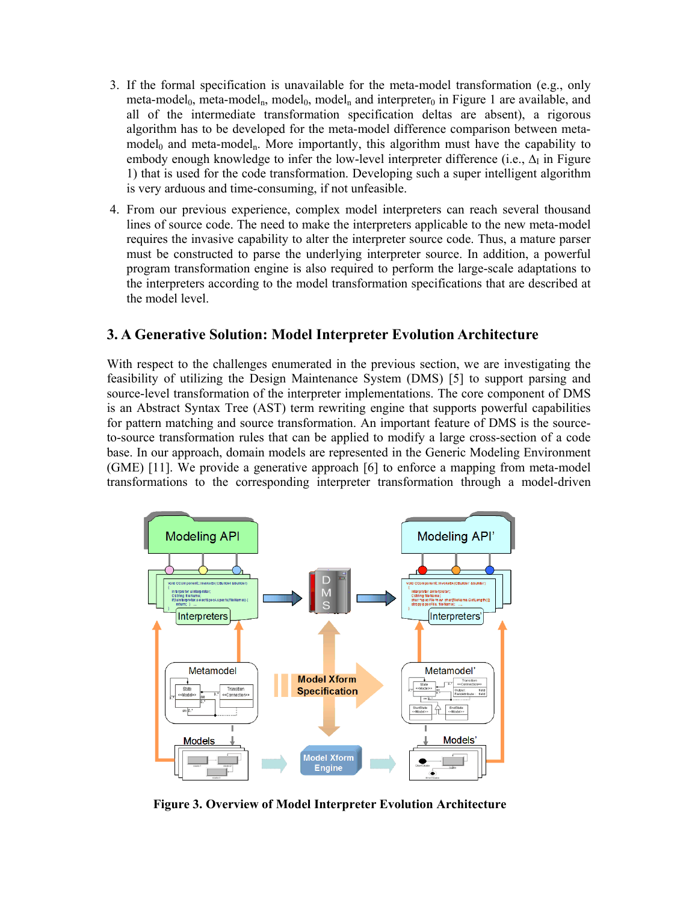- 3. If the formal specification is unavailable for the meta-model transformation (e.g., only meta-model<sub>0</sub>, meta-model<sub>n</sub>, model<sub>0</sub>, model<sub>n</sub> and interpreter<sub>0</sub> in Figure 1 are available, and all of the intermediate transformation specification deltas are absent), a rigorous algorithm has to be developed for the meta-model difference comparison between metamodel<sub>0</sub> and meta-model<sub>n</sub>. More importantly, this algorithm must have the capability to embody enough knowledge to infer the low-level interpreter difference (i.e.,  $\Delta_I$  in Figure 1) that is used for the code transformation. Developing such a super intelligent algorithm is very arduous and time-consuming, if not unfeasible.
- 4. From our previous experience, complex model interpreters can reach several thousand lines of source code. The need to make the interpreters applicable to the new meta-model requires the invasive capability to alter the interpreter source code. Thus, a mature parser must be constructed to parse the underlying interpreter source. In addition, a powerful program transformation engine is also required to perform the large-scale adaptations to the interpreters according to the model transformation specifications that are described at the model level.

### **3. A Generative Solution: Model Interpreter Evolution Architecture**

With respect to the challenges enumerated in the previous section, we are investigating the feasibility of utilizing the Design Maintenance System (DMS) [5] to support parsing and source-level transformation of the interpreter implementations. The core component of DMS is an Abstract Syntax Tree (AST) term rewriting engine that supports powerful capabilities for pattern matching and source transformation. An important feature of DMS is the sourceto-source transformation rules that can be applied to modify a large cross-section of a code base. In our approach, domain models are represented in the Generic Modeling Environment (GME) [11]. We provide a generative approach [6] to enforce a mapping from meta-model transformations to the corresponding interpreter transformation through a model-driven



**Figure 3. Overview of Model Interpreter Evolution Architecture**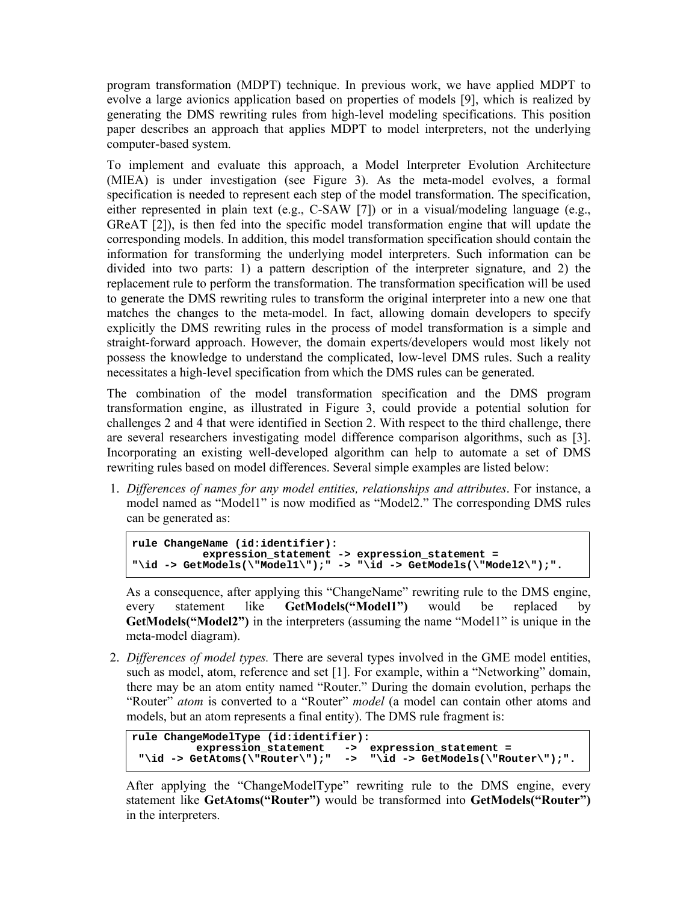program transformation (MDPT) technique. In previous work, we have applied MDPT to evolve a large avionics application based on properties of models [9], which is realized by generating the DMS rewriting rules from high-level modeling specifications. This position paper describes an approach that applies MDPT to model interpreters, not the underlying computer-based system.

To implement and evaluate this approach, a Model Interpreter Evolution Architecture (MIEA) is under investigation (see Figure 3). As the meta-model evolves, a formal specification is needed to represent each step of the model transformation. The specification, either represented in plain text (e.g., C-SAW [7]) or in a visual/modeling language (e.g., GReAT [2]), is then fed into the specific model transformation engine that will update the corresponding models. In addition, this model transformation specification should contain the information for transforming the underlying model interpreters. Such information can be divided into two parts: 1) a pattern description of the interpreter signature, and 2) the replacement rule to perform the transformation. The transformation specification will be used to generate the DMS rewriting rules to transform the original interpreter into a new one that matches the changes to the meta-model. In fact, allowing domain developers to specify explicitly the DMS rewriting rules in the process of model transformation is a simple and straight-forward approach. However, the domain experts/developers would most likely not possess the knowledge to understand the complicated, low-level DMS rules. Such a reality necessitates a high-level specification from which the DMS rules can be generated.

The combination of the model transformation specification and the DMS program transformation engine, as illustrated in Figure 3, could provide a potential solution for challenges 2 and 4 that were identified in Section 2. With respect to the third challenge, there are several researchers investigating model difference comparison algorithms, such as [3]. Incorporating an existing well-developed algorithm can help to automate a set of DMS rewriting rules based on model differences. Several simple examples are listed below:

1. *Differences of names for any model entities, relationships and attributes*. For instance, a model named as "Model1" is now modified as "Model2." The corresponding DMS rules can be generated as:

```
rule ChangeName (id:identifier): 
            expression_statement -> expression_statement = 
"\id -> GetModels(\"Model1\");" -> "\id -> GetModels(\"Model2\");".
```
As a consequence, after applying this "ChangeName" rewriting rule to the DMS engine, every statement like **GetModels("Model1")** would be replaced by **GetModels("Model2")** in the interpreters (assuming the name "Model1" is unique in the meta-model diagram).

2. *Differences of model types.* There are several types involved in the GME model entities, such as model, atom, reference and set [1]. For example, within a "Networking" domain, there may be an atom entity named "Router." During the domain evolution, perhaps the "Router" *atom* is converted to a "Router" *model* (a model can contain other atoms and models, but an atom represents a final entity). The DMS rule fragment is:

```
rule ChangeModelType (id:identifier): 
  expression_statement -> expression_statement =<br>''\id -> GetAtoms(\"Router\");" -> "\id -> GetModels(\"Ro
                                                         "\tilde{}id -> GetModels(\tilde{}"Router\tilde{}'");".
```
After applying the "ChangeModelType" rewriting rule to the DMS engine, every statement like **GetAtoms("Router")** would be transformed into **GetModels("Router")**  in the interpreters.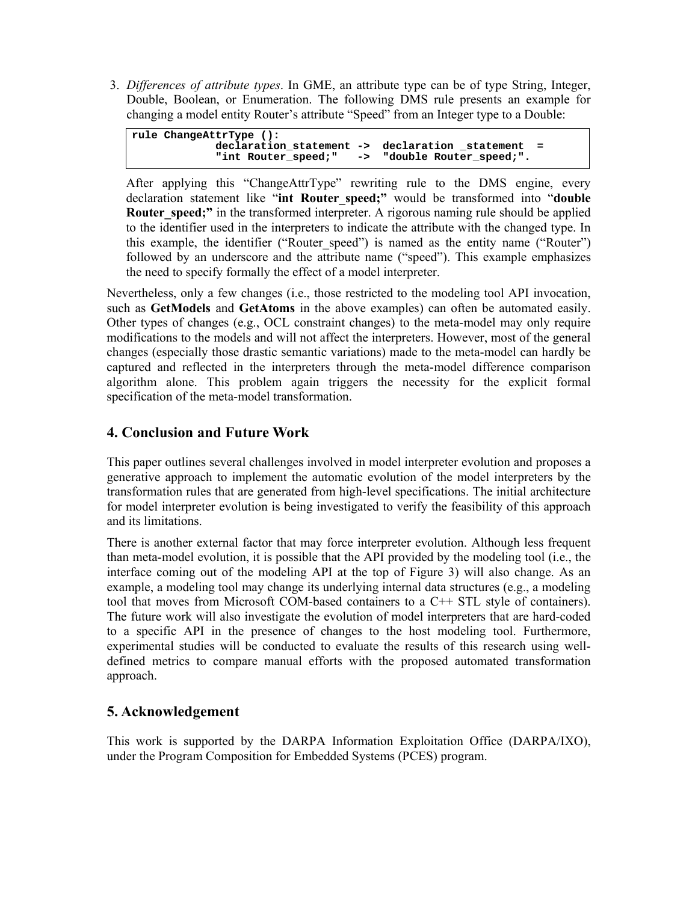3. *Differences of attribute types*. In GME, an attribute type can be of type String, Integer, Double, Boolean, or Enumeration. The following DMS rule presents an example for changing a model entity Router's attribute "Speed" from an Integer type to a Double:

| rule ChangeAttrType (): |                                                  |  |
|-------------------------|--------------------------------------------------|--|
|                         | declaration statement -> declaration statement = |  |
|                         | "int Router speed:" -> "double Router speed:".   |  |

After applying this "ChangeAttrType" rewriting rule to the DMS engine, every declaration statement like "**int Router\_speed;"** would be transformed into "**double Router** speed;" in the transformed interpreter. A rigorous naming rule should be applied to the identifier used in the interpreters to indicate the attribute with the changed type. In this example, the identifier ("Router speed") is named as the entity name ("Router") followed by an underscore and the attribute name ("speed"). This example emphasizes the need to specify formally the effect of a model interpreter.

Nevertheless, only a few changes (i.e., those restricted to the modeling tool API invocation, such as **GetModels** and **GetAtoms** in the above examples) can often be automated easily. Other types of changes (e.g., OCL constraint changes) to the meta-model may only require modifications to the models and will not affect the interpreters. However, most of the general changes (especially those drastic semantic variations) made to the meta-model can hardly be captured and reflected in the interpreters through the meta-model difference comparison algorithm alone. This problem again triggers the necessity for the explicit formal specification of the meta-model transformation.

## **4. Conclusion and Future Work**

This paper outlines several challenges involved in model interpreter evolution and proposes a generative approach to implement the automatic evolution of the model interpreters by the transformation rules that are generated from high-level specifications. The initial architecture for model interpreter evolution is being investigated to verify the feasibility of this approach and its limitations.

There is another external factor that may force interpreter evolution. Although less frequent than meta-model evolution, it is possible that the API provided by the modeling tool (i.e., the interface coming out of the modeling API at the top of Figure 3) will also change. As an example, a modeling tool may change its underlying internal data structures (e.g., a modeling tool that moves from Microsoft COM-based containers to a C++ STL style of containers). The future work will also investigate the evolution of model interpreters that are hard-coded to a specific API in the presence of changes to the host modeling tool. Furthermore, experimental studies will be conducted to evaluate the results of this research using welldefined metrics to compare manual efforts with the proposed automated transformation approach.

# **5. Acknowledgement**

This work is supported by the DARPA Information Exploitation Office (DARPA/IXO), under the Program Composition for Embedded Systems (PCES) program.